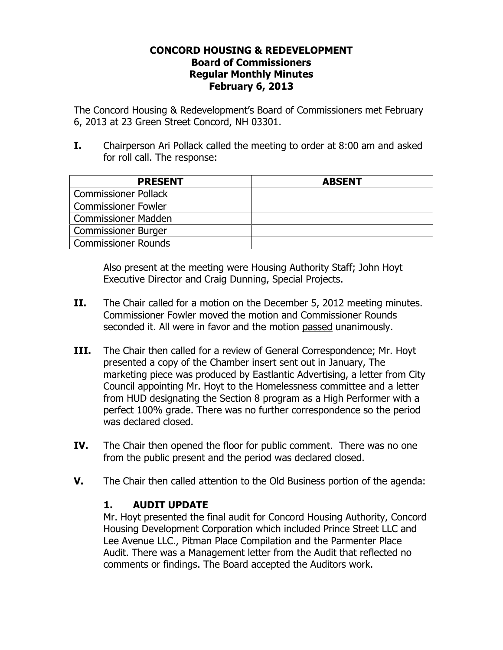## CONCORD HOUSING & REDEVELOPMENT Board of Commissioners Regular Monthly Minutes February 6, 2013

The Concord Housing & Redevelopment's Board of Commissioners met February 6, 2013 at 23 Green Street Concord, NH 03301.

I. Chairperson Ari Pollack called the meeting to order at 8:00 am and asked for roll call. The response:

| <b>PRESENT</b>              | <b>ABSENT</b> |
|-----------------------------|---------------|
| <b>Commissioner Pollack</b> |               |
| <b>Commissioner Fowler</b>  |               |
| <b>Commissioner Madden</b>  |               |
| <b>Commissioner Burger</b>  |               |
| <b>Commissioner Rounds</b>  |               |

Also present at the meeting were Housing Authority Staff; John Hoyt Executive Director and Craig Dunning, Special Projects.

- II. The Chair called for a motion on the December 5, 2012 meeting minutes. Commissioner Fowler moved the motion and Commissioner Rounds seconded it. All were in favor and the motion passed unanimously.
- **III.** The Chair then called for a review of General Correspondence; Mr. Hoyt presented a copy of the Chamber insert sent out in January, The marketing piece was produced by Eastlantic Advertising, a letter from City Council appointing Mr. Hoyt to the Homelessness committee and a letter from HUD designating the Section 8 program as a High Performer with a perfect 100% grade. There was no further correspondence so the period was declared closed.
- IV. The Chair then opened the floor for public comment. There was no one from the public present and the period was declared closed.
- V. The Chair then called attention to the Old Business portion of the agenda:

## 1. AUDIT UPDATE

Mr. Hoyt presented the final audit for Concord Housing Authority, Concord Housing Development Corporation which included Prince Street LLC and Lee Avenue LLC., Pitman Place Compilation and the Parmenter Place Audit. There was a Management letter from the Audit that reflected no comments or findings. The Board accepted the Auditors work.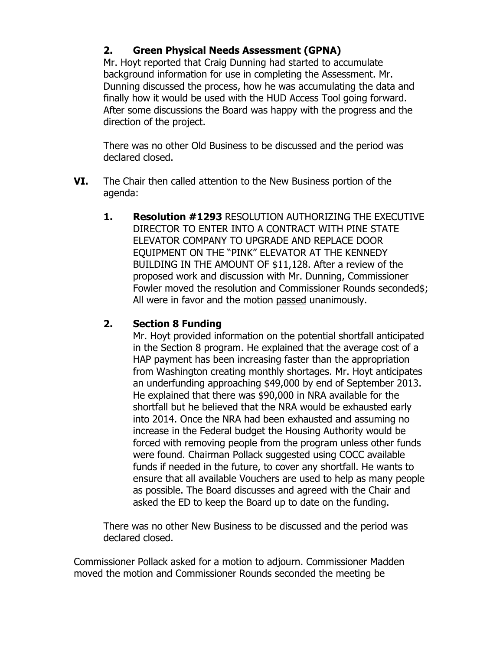## 2. Green Physical Needs Assessment (GPNA)

Mr. Hoyt reported that Craig Dunning had started to accumulate background information for use in completing the Assessment. Mr. Dunning discussed the process, how he was accumulating the data and finally how it would be used with the HUD Access Tool going forward. After some discussions the Board was happy with the progress and the direction of the project.

There was no other Old Business to be discussed and the period was declared closed.

- VI. The Chair then called attention to the New Business portion of the agenda:
	- 1. Resolution #1293 RESOLUTION AUTHORIZING THE EXECUTIVE DIRECTOR TO ENTER INTO A CONTRACT WITH PINE STATE ELEVATOR COMPANY TO UPGRADE AND REPLACE DOOR EQUIPMENT ON THE "PINK" ELEVATOR AT THE KENNEDY BUILDING IN THE AMOUNT OF \$11,128. After a review of the proposed work and discussion with Mr. Dunning, Commissioner Fowler moved the resolution and Commissioner Rounds seconded\$; All were in favor and the motion passed unanimously.

## 2. Section 8 Funding

Mr. Hoyt provided information on the potential shortfall anticipated in the Section 8 program. He explained that the average cost of a HAP payment has been increasing faster than the appropriation from Washington creating monthly shortages. Mr. Hoyt anticipates an underfunding approaching \$49,000 by end of September 2013. He explained that there was \$90,000 in NRA available for the shortfall but he believed that the NRA would be exhausted early into 2014. Once the NRA had been exhausted and assuming no increase in the Federal budget the Housing Authority would be forced with removing people from the program unless other funds were found. Chairman Pollack suggested using COCC available funds if needed in the future, to cover any shortfall. He wants to ensure that all available Vouchers are used to help as many people as possible. The Board discusses and agreed with the Chair and asked the ED to keep the Board up to date on the funding.

There was no other New Business to be discussed and the period was declared closed.

Commissioner Pollack asked for a motion to adjourn. Commissioner Madden moved the motion and Commissioner Rounds seconded the meeting be